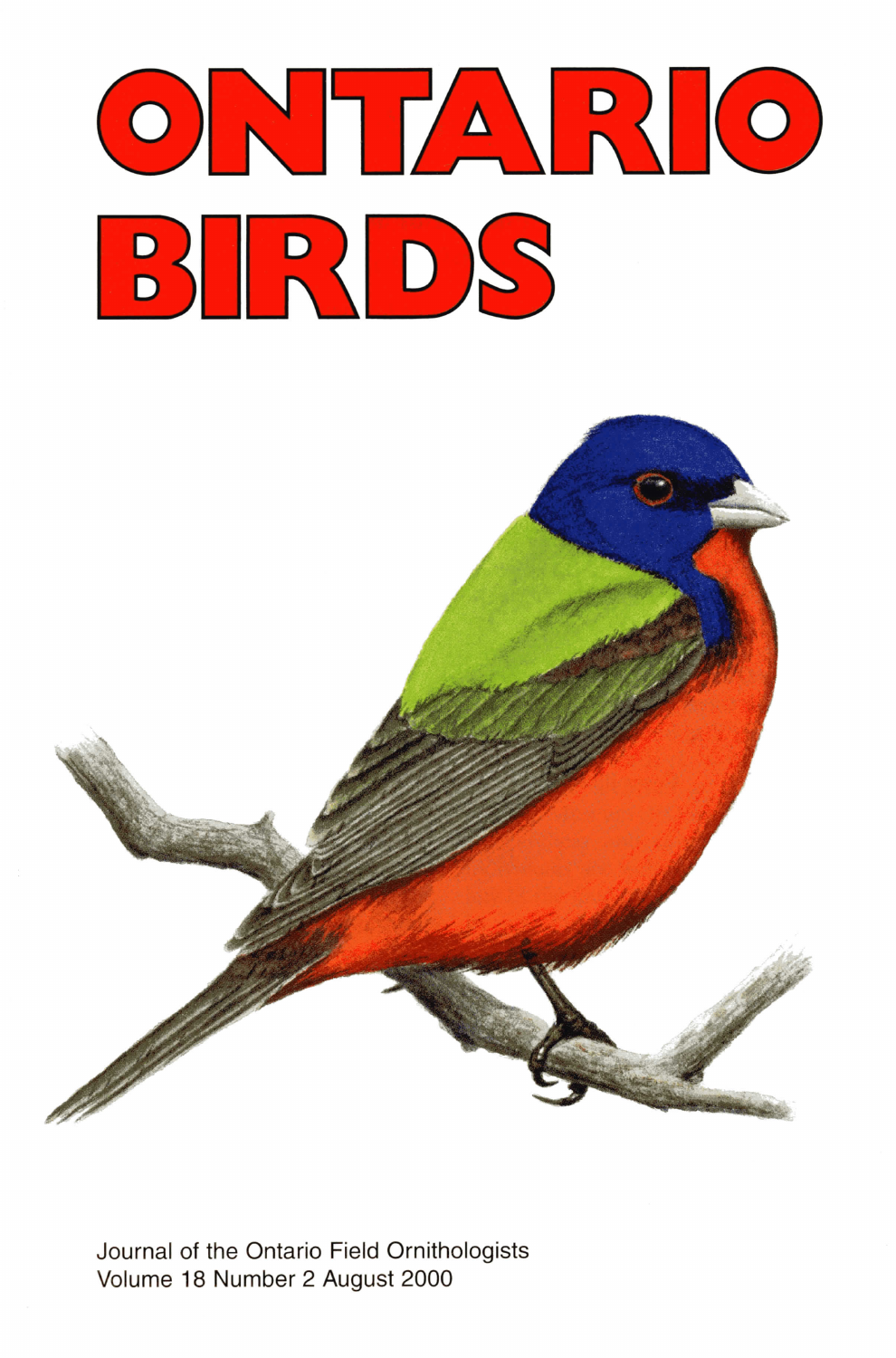



Journal of the Ontario Field Ornithologists Volume 18 Number 2 August 2000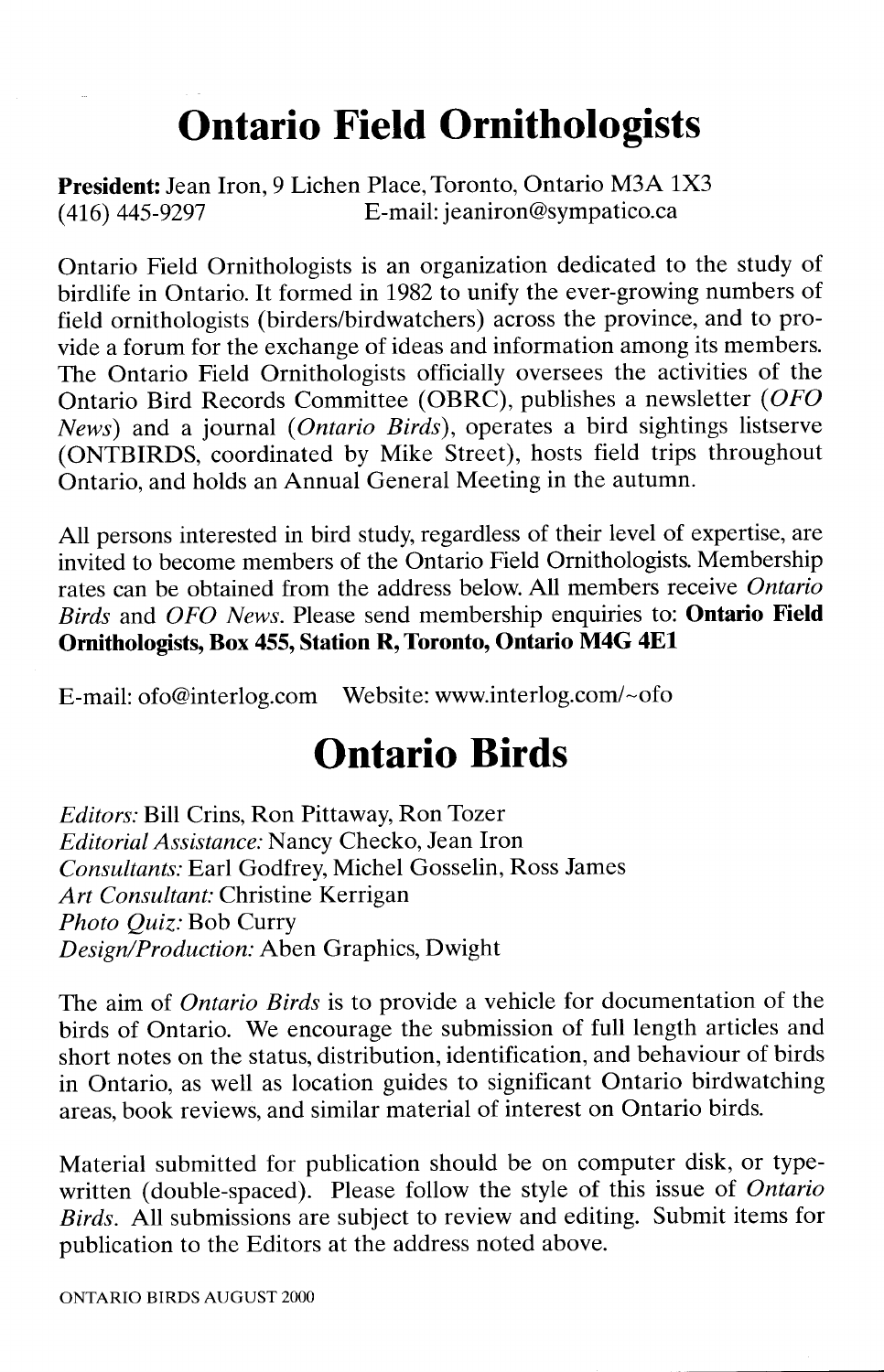## **Ontario Field Ornithologists**

**President:** Jean Iron, 9 Lichen Place, Toronto, Ontario M3A 1X3 (416) 445-9297 E-mail: jeaniron@sympatico.ca

Ontario Field Ornithologists is an organization dedicated to the study of birdlife in Ontario. It formed in 1982 to unify the ever-growing numbers of field ornithologists (birders/birdwatchers) across the province, and to provide a forum for the exchange of ideas and information among its members. The Ontario Field Ornithologists officially oversees the activities of the Ontario Bird Records Committee (OBRC), publishes a newsletter *(OFO News)* and a journal *(Ontario Birds),* operates a bird sightings listserve (ONTBIRDS, coordinated by Mike Street), hosts field trips throughout Ontario, and holds an Annual General Meeting in the autumn.

All persons interested in bird study, regardless of their level of expertise, are invited to become members of the Ontario Field Ornithologists. Membership rates can be obtained from the address below. All members receive *Ontario Birds* and *OFO News.* Please send membership enquiries to: **Ontario Field Ornithologists, Box 455, Station R, Toronto, Ontario M4G 4El**

E-mail: ofo@interlog.com Website: www.interlog.com/~ofo

## **Ontario Birds**

*Editors:* Bill Crins, Ron Pittaway, Ron Tozer *Editorial Assistance:* Nancy Checko, Jean Iron *Consultants:* Earl Godfrey, Michel Gosselin, Ross James *Art Consultant:* Christine Kerrigan *Photo Quiz:* Bob Curry *Design/Production:* Aben Graphics, Dwight

The aim of *Ontario Birds* is to provide a vehicle for documentation of the birds of Ontario. We encourage the submission of full length articles and short notes on the status, distribution, identification, and behaviour of birds in Ontario, as well as location guides to significant Ontario birdwatching areas, book reviews, and similar material of interest on Ontario birds.

Material submitted for publication should be on computer disk, or typewritten (double-spaced). Please follow the style of this issue of *Ontario Birds.* All submissions are subject to review and editing. Submit items for publication to the Editors at the address noted above.